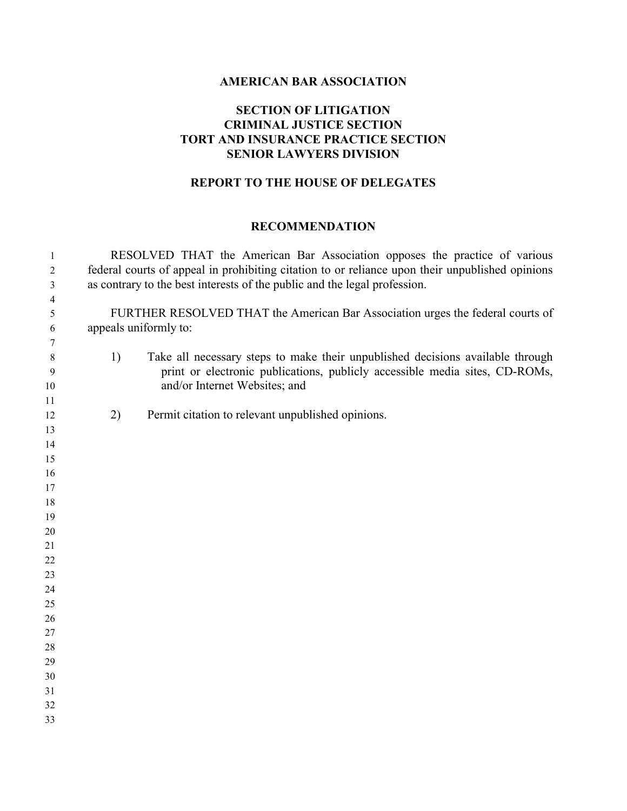### **AMERICAN BAR ASSOCIATION**

# **SECTION OF LITIGATION CRIMINAL JUSTICE SECTION TORT AND INSURANCE PRACTICE SECTION SENIOR LAWYERS DIVISION**

# **REPORT TO THE HOUSE OF DELEGATES**

### **RECOMMENDATION**

| $\mathbf{1}$   |    | RESOLVED THAT the American Bar Association opposes the practice of various                                                                                    |
|----------------|----|---------------------------------------------------------------------------------------------------------------------------------------------------------------|
| $\overline{2}$ |    | federal courts of appeal in prohibiting citation to or reliance upon their unpublished opinions                                                               |
| 3              |    | as contrary to the best interests of the public and the legal profession.                                                                                     |
| $\overline{4}$ |    |                                                                                                                                                               |
| 5              |    | FURTHER RESOLVED THAT the American Bar Association urges the federal courts of                                                                                |
| 6              |    | appeals uniformly to:                                                                                                                                         |
| 7              |    |                                                                                                                                                               |
| 8<br>9         | 1) | Take all necessary steps to make their unpublished decisions available through<br>print or electronic publications, publicly accessible media sites, CD-ROMs, |
| 10             |    | and/or Internet Websites; and                                                                                                                                 |
| 11<br>12       | 2) | Permit citation to relevant unpublished opinions.                                                                                                             |
| 13             |    |                                                                                                                                                               |
| 14             |    |                                                                                                                                                               |
| 15             |    |                                                                                                                                                               |
| 16             |    |                                                                                                                                                               |
| 17             |    |                                                                                                                                                               |
| 18             |    |                                                                                                                                                               |
| 19             |    |                                                                                                                                                               |
| 20             |    |                                                                                                                                                               |
| 21             |    |                                                                                                                                                               |
| 22             |    |                                                                                                                                                               |
| 23             |    |                                                                                                                                                               |
| 24             |    |                                                                                                                                                               |
| 25             |    |                                                                                                                                                               |
| 26             |    |                                                                                                                                                               |
| 27             |    |                                                                                                                                                               |
| 28<br>29       |    |                                                                                                                                                               |
| 30             |    |                                                                                                                                                               |
| 31             |    |                                                                                                                                                               |
| 32             |    |                                                                                                                                                               |
| 33             |    |                                                                                                                                                               |
|                |    |                                                                                                                                                               |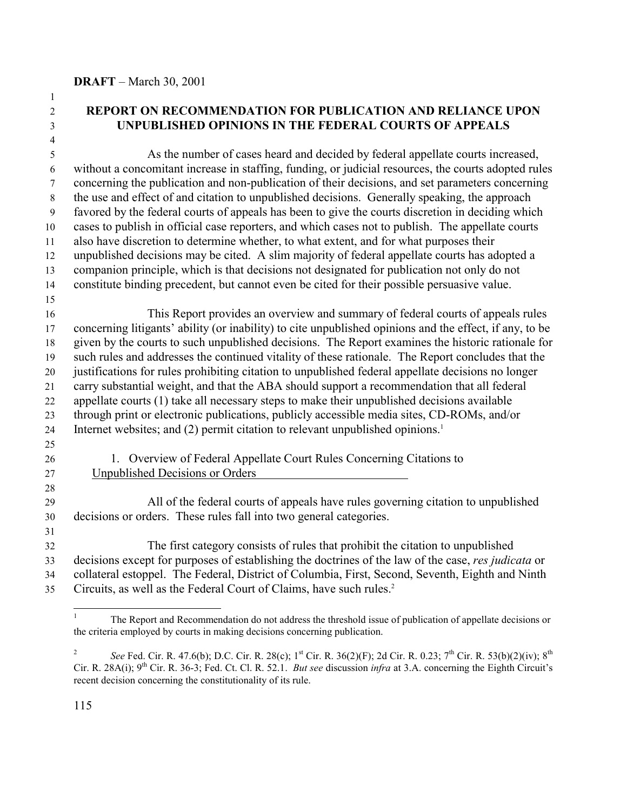# **REPORT ON RECOMMENDATION FOR PUBLICATION AND RELIANCE UPON UNPUBLISHED OPINIONS IN THE FEDERAL COURTS OF APPEALS**

 As the number of cases heard and decided by federal appellate courts increased, without a concomitant increase in staffing, funding, or judicial resources, the courts adopted rules concerning the publication and non-publication of their decisions, and set parameters concerning the use and effect of and citation to unpublished decisions. Generally speaking, the approach favored by the federal courts of appeals has been to give the courts discretion in deciding which cases to publish in official case reporters, and which cases not to publish. The appellate courts also have discretion to determine whether, to what extent, and for what purposes their unpublished decisions may be cited. A slim majority of federal appellate courts has adopted a companion principle, which is that decisions not designated for publication not only do not constitute binding precedent, but cannot even be cited for their possible persuasive value. 

 This Report provides an overview and summary of federal courts of appeals rules concerning litigants' ability (or inability) to cite unpublished opinions and the effect, if any, to be given by the courts to such unpublished decisions. The Report examines the historic rationale for such rules and addresses the continued vitality of these rationale. The Report concludes that the justifications for rules prohibiting citation to unpublished federal appellate decisions no longer carry substantial weight, and that the ABA should support a recommendation that all federal appellate courts (1) take all necessary steps to make their unpublished decisions available through print or electronic publications, publicly accessible media sites, CD-ROMs, and/or 24 Internet websites; and  $(2)$  permit citation to relevant unpublished opinions.<sup>1</sup>

1. Overview of Federal Appellate Court Rules Concerning Citations to

Unpublished Decisions or Orders

 All of the federal courts of appeals have rules governing citation to unpublished decisions or orders. These rules fall into two general categories.

 The first category consists of rules that prohibit the citation to unpublished decisions except for purposes of establishing the doctrines of the law of the case, *res judicata* or collateral estoppel. The Federal, District of Columbia, First, Second, Seventh, Eighth and Ninth 35 Circuits, as well as the Federal Court of Claims, have such rules.<sup>2</sup>

 $\overline{a}$ 

The Report and Recommendation do not address the threshold issue of publication of appellate decisions or the criteria employed by courts in making decisions concerning publication.

<sup>&</sup>lt;sup>2</sup> *See* Fed. Cir. R. 47.6(b); D.C. Cir. R. 28(c); 1<sup>st</sup> Cir. R. 36(2)(F); 2d Cir. R. 0.23; 7<sup>th</sup> Cir. R. 53(b)(2)(iv); 8<sup>th</sup> Cir. R. 28A(i);  $9^{th}$  Cir. R. 36-3; Fed. Ct. Cl. R. 52.1. *But see* discussion *infra* at 3.A. concerning the Eighth Circuit's recent decision concerning the constitutionality of its rule.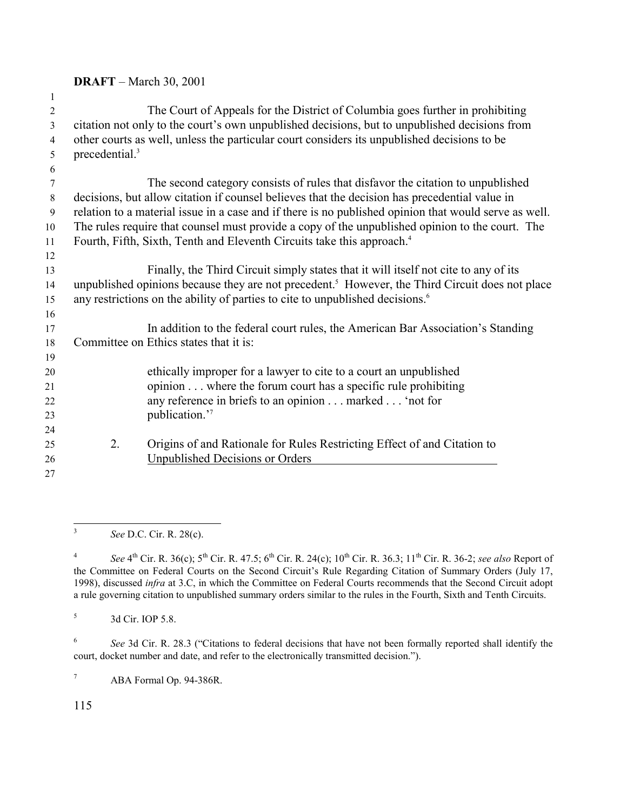| $\overline{2}$<br>3 |                                                                                                             | The Court of Appeals for the District of Columbia goes further in prohibiting<br>citation not only to the court's own unpublished decisions, but to unpublished decisions from |  |
|---------------------|-------------------------------------------------------------------------------------------------------------|--------------------------------------------------------------------------------------------------------------------------------------------------------------------------------|--|
| $\overline{4}$      |                                                                                                             | other courts as well, unless the particular court considers its unpublished decisions to be                                                                                    |  |
|                     | precedential. <sup>3</sup>                                                                                  |                                                                                                                                                                                |  |
| 5                   |                                                                                                             |                                                                                                                                                                                |  |
| 6                   |                                                                                                             |                                                                                                                                                                                |  |
| 7                   |                                                                                                             | The second category consists of rules that disfavor the citation to unpublished                                                                                                |  |
| 8                   |                                                                                                             | decisions, but allow citation if counsel believes that the decision has precedential value in                                                                                  |  |
| 9                   |                                                                                                             | relation to a material issue in a case and if there is no published opinion that would serve as well.                                                                          |  |
| 10                  |                                                                                                             | The rules require that counsel must provide a copy of the unpublished opinion to the court. The                                                                                |  |
| 11                  |                                                                                                             | Fourth, Fifth, Sixth, Tenth and Eleventh Circuits take this approach. <sup>4</sup>                                                                                             |  |
| 12                  |                                                                                                             |                                                                                                                                                                                |  |
| 13                  |                                                                                                             | Finally, the Third Circuit simply states that it will itself not cite to any of its                                                                                            |  |
| 14                  | unpublished opinions because they are not precedent. <sup>5</sup> However, the Third Circuit does not place |                                                                                                                                                                                |  |
| 15                  | any restrictions on the ability of parties to cite to unpublished decisions. <sup>6</sup>                   |                                                                                                                                                                                |  |
| 16                  |                                                                                                             |                                                                                                                                                                                |  |
| 17                  |                                                                                                             | In addition to the federal court rules, the American Bar Association's Standing                                                                                                |  |
| 18                  |                                                                                                             | Committee on Ethics states that it is:                                                                                                                                         |  |
| 19                  |                                                                                                             |                                                                                                                                                                                |  |
| 20                  |                                                                                                             | ethically improper for a lawyer to cite to a court an unpublished                                                                                                              |  |
| 21                  |                                                                                                             | opinion where the forum court has a specific rule prohibiting                                                                                                                  |  |
| 22                  |                                                                                                             | any reference in briefs to an opinion marked 'not for                                                                                                                          |  |
| 23                  |                                                                                                             | publication."                                                                                                                                                                  |  |
|                     |                                                                                                             |                                                                                                                                                                                |  |
| 24                  |                                                                                                             |                                                                                                                                                                                |  |
| 25                  | 2.                                                                                                          | Origins of and Rationale for Rules Restricting Effect of and Citation to                                                                                                       |  |
| 26                  |                                                                                                             | Unpublished Decisions or Orders                                                                                                                                                |  |
| 27                  |                                                                                                             |                                                                                                                                                                                |  |

 $\overline{3}$ *See* D.C. Cir. R. 28(c).

<sup>4</sup> *See* 4<sup>th</sup> Cir. R. 36(c); 5<sup>th</sup> Cir. R. 47.5; 6<sup>th</sup> Cir. R. 24(c); 10<sup>th</sup> Cir. R. 36.3; 11<sup>th</sup> Cir. R. 36-2; *see also* Report of the Committee on Federal Courts on the Second Circuit's Rule Regarding Citation of Summary Orders (July 17, 1998), discussed *infra* at 3.C, in which the Committee on Federal Courts recommends that the Second Circuit adopt a rule governing citation to unpublished summary orders similar to the rules in the Fourth, Sixth and Tenth Circuits.

<sup>6</sup> See 3d Cir. R. 28.3 ("Citations to federal decisions that have not been formally reported shall identify the court, docket number and date, and refer to the electronically transmitted decision.").

ABA Formal Op. 94-386R.

3d Cir. IOP 5.8.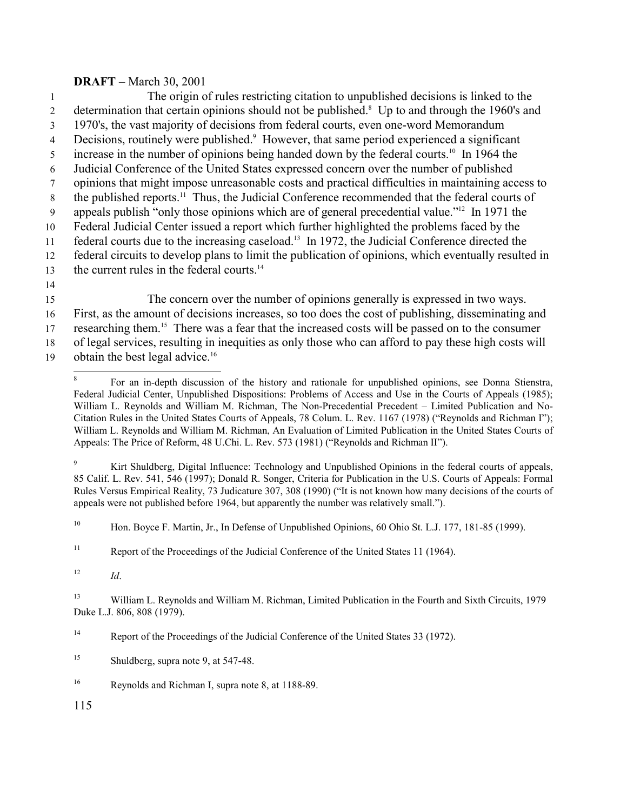1 The origin of rules restricting citation to unpublished decisions is linked to the 2 determination that certain opinions should not be published.<sup>8</sup> Up to and through the 1960's and 3 1970's, the vast majority of decisions from federal courts, even one-word Memorandum 4 Decisions, routinely were published.<sup>9</sup> However, that same period experienced a significant  $\frac{1}{2}$  increase in the number of opinions being handed down by the federal courts.<sup>10</sup> In 1964 the 6 Judicial Conference of the United States expressed concern over the number of published 7 opinions that might impose unreasonable costs and practical difficulties in maintaining access to  $8$  the published reports.<sup>11</sup> Thus, the Judicial Conference recommended that the federal courts of 9 appeals publish "only those opinions which are of general precedential value."<sup>12</sup> In 1971 the 10 Federal Judicial Center issued a report which further highlighted the problems faced by the 11 federal courts due to the increasing caseload.<sup>13</sup> In 1972, the Judicial Conference directed the 12 federal circuits to develop plans to limit the publication of opinions, which eventually resulted in 13 the current rules in the federal courts. $14$ 14

- 15 The concern over the number of opinions generally is expressed in two ways. 16 First, as the amount of decisions increases, so too does the cost of publishing, disseminating and 17 researching them.<sup>15</sup> There was a fear that the increased costs will be passed on to the consumer 18 of legal services, resulting in inequities as only those who can afford to pay these high costs will
- 19 obtain the best legal advice.<sup>16</sup>

<sup>9</sup> Kirt Shuldberg, Digital Influence: Technology and Unpublished Opinions in the federal courts of appeals, 85 Calif. L. Rev. 541, 546 (1997); Donald R. Songer, Criteria for Publication in the U.S. Courts of Appeals: Formal Rules Versus Empirical Reality, 73 Judicature 307, 308 (1990) ("It is not known how many decisions of the courts of appeals were not published before 1964, but apparently the number was relatively small.").

<sup>10</sup> Hon. Boyce F. Martin, Jr., In Defense of Unpublished Opinions, 60 Ohio St. L.J. 177, 181-85 (1999).

<sup>11</sup> Report of the Proceedings of the Judicial Conference of the United States 11 (1964).

<sup>12</sup> *Id*.

l

<sup>13</sup> William L. Reynolds and William M. Richman, Limited Publication in the Fourth and Sixth Circuits, 1979 Duke L.J. 806, 808 (1979).

<sup>14</sup> Report of the Proceedings of the Judicial Conference of the United States 33 (1972).

<sup>15</sup> Shuldberg, supra note 9, at 547-48.

<sup>16</sup> Reynolds and Richman I, supra note 8, at 1188-89.

<sup>8</sup> For an in-depth discussion of the history and rationale for unpublished opinions, see Donna Stienstra, Federal Judicial Center, Unpublished Dispositions: Problems of Access and Use in the Courts of Appeals (1985); William L. Reynolds and William M. Richman, The Non-Precedential Precedent – Limited Publication and No-Citation Rules in the United States Courts of Appeals, 78 Colum. L. Rev. 1167 (1978) ("Reynolds and Richman I"); William L. Reynolds and William M. Richman, An Evaluation of Limited Publication in the United States Courts of Appeals: The Price of Reform, 48 U.Chi. L. Rev. 573 (1981) ("Reynolds and Richman II").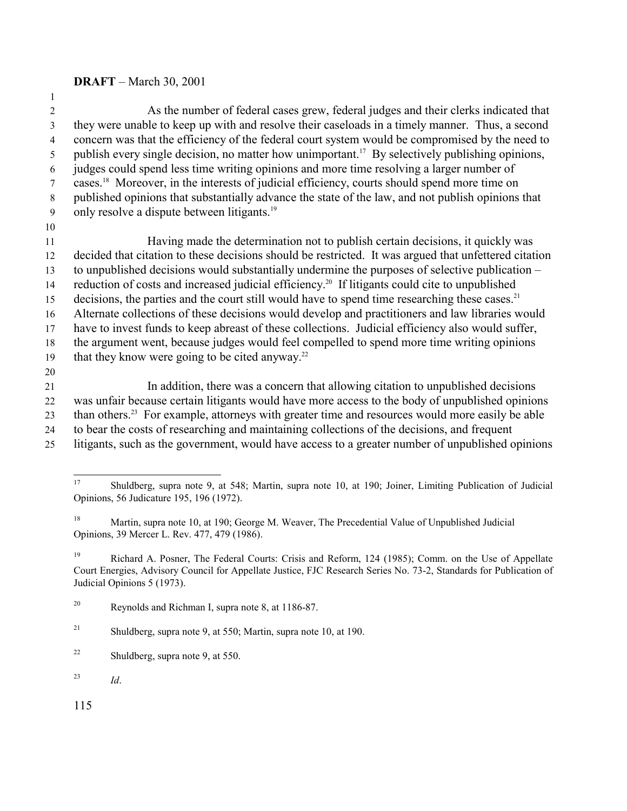| $\overline{2}$ | As the number of federal cases grew, federal judges and their clerks indicated that                         |
|----------------|-------------------------------------------------------------------------------------------------------------|
| $\overline{3}$ | they were unable to keep up with and resolve their caseloads in a timely manner. Thus, a second             |
| $\overline{4}$ | concern was that the efficiency of the federal court system would be compromised by the need to             |
| 5              | publish every single decision, no matter how unimportant. <sup>17</sup> By selectively publishing opinions, |
| 6              | judges could spend less time writing opinions and more time resolving a larger number of                    |
| 7              | cases. <sup>18</sup> Moreover, in the interests of judicial efficiency, courts should spend more time on    |
| 8              | published opinions that substantially advance the state of the law, and not publish opinions that           |
| 9              | only resolve a dispute between litigants. <sup>19</sup>                                                     |
| 10             |                                                                                                             |
| 11             | Having made the determination not to publish certain decisions, it quickly was                              |
| 12             | decided that citation to these decisions should be restricted. It was argued that unfettered citation       |
| 13             | to unpublished decisions would substantially undermine the purposes of selective publication –              |
| 14             | reduction of costs and increased judicial efficiency. <sup>20</sup> If litigants could cite to unpublished  |
| 15             | decisions, the parties and the court still would have to spend time researching these cases. <sup>21</sup>  |
| 16             | Alternate collections of these decisions would develop and practitioners and law libraries would            |
| 17             | have to invest funds to keep abreast of these collections. Judicial efficiency also would suffer,           |
| 18             | the argument went, because judges would feel compelled to spend more time writing opinions                  |
| 19             | that they know were going to be cited anyway. <sup>22</sup>                                                 |
| 20             |                                                                                                             |
| 21             | In addition, there was a concern that allowing citation to unpublished decisions                            |
| 22             | was unfair because certain litigants would have more access to the body of unpublished opinions             |
| 23             | than others. <sup>23</sup> For example, attorneys with greater time and resources would more easily be able |
| 24             | to bear the costs of researching and maintaining collections of the decisions, and frequent                 |

litigants, such as the government, would have access to a greater number of unpublished opinions

<sup>19</sup> Richard A. Posner, The Federal Courts: Crisis and Reform, 124 (1985); Comm. on the Use of Appellate Court Energies, Advisory Council for Appellate Justice, FJC Research Series No. 73-2, Standards for Publication of Judicial Opinions 5 (1973).

*Id*.

 $17\text{ }$  Shuldberg, supra note 9, at 548; Martin, supra note 10, at 190; Joiner, Limiting Publication of Judicial Opinions, 56 Judicature 195, 196 (1972).

<sup>&</sup>lt;sup>18</sup> Martin, supra note 10, at 190; George M. Weaver, The Precedential Value of Unpublished Judicial Opinions, 39 Mercer L. Rev. 477, 479 (1986).

Reynolds and Richman I, supra note 8, at 1186-87.

<sup>&</sup>lt;sup>21</sup> Shuldberg, supra note 9, at 550; Martin, supra note 10, at 190.

Shuldberg, supra note 9, at 550.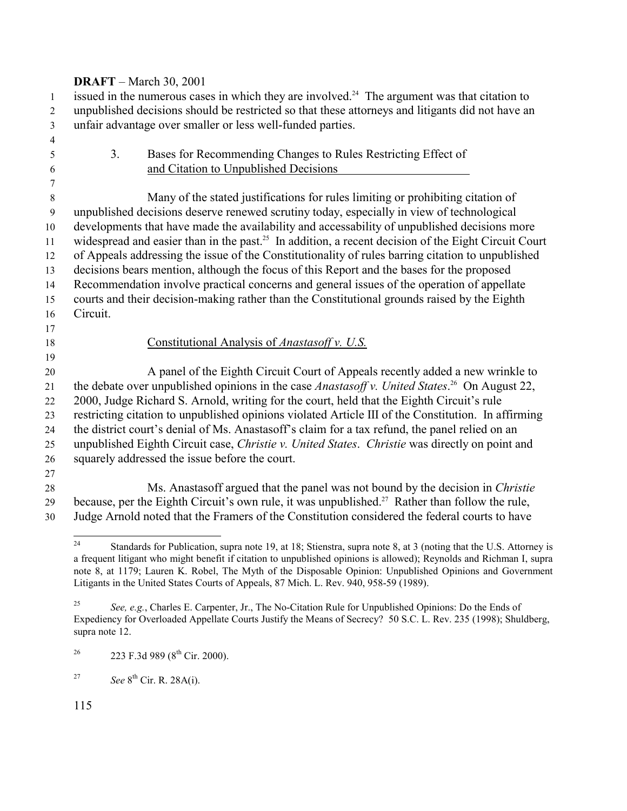issued in the numerous cases in which they are involved.<sup>24</sup> The argument was that citation to unpublished decisions should be restricted so that these attorneys and litigants did not have an unfair advantage over smaller or less well-funded parties.

 3. Bases for Recommending Changes to Rules Restricting Effect of and Citation to Unpublished Decisions Many of the stated justifications for rules limiting or prohibiting citation of unpublished decisions deserve renewed scrutiny today, especially in view of technological developments that have made the availability and accessability of unpublished decisions more 11 widespread and easier than in the past.<sup>25</sup> In addition, a recent decision of the Eight Circuit Court of Appeals addressing the issue of the Constitutionality of rules barring citation to unpublished decisions bears mention, although the focus of this Report and the bases for the proposed Recommendation involve practical concerns and general issues of the operation of appellate courts and their decision-making rather than the Constitutional grounds raised by the Eighth Circuit. Constitutional Analysis of *Anastasoff v. U.S.* A panel of the Eighth Circuit Court of Appeals recently added a new wrinkle to 21 the debate over unpublished opinions in the case *Anastasoff v. United States*.<sup>26</sup> On August 22, 2000, Judge Richard S. Arnold, writing for the court, held that the Eighth Circuit's rule restricting citation to unpublished opinions violated Article III of the Constitution. In affirming the district court's denial of Ms. Anastasoff's claim for a tax refund, the panel relied on an unpublished Eighth Circuit case, *Christie v. United States*. *Christie* was directly on point and squarely addressed the issue before the court. Ms. Anastasoff argued that the panel was not bound by the decision in *Christie* 29 because, per the Eighth Circuit's own rule, it was unpublished.<sup>27</sup> Rather than follow the rule,

Judge Arnold noted that the Framers of the Constitution considered the federal courts to have

 Standards for Publication, supra note 19, at 18; Stienstra, supra note 8, at 3 (noting that the U.S. Attorney is a frequent litigant who might benefit if citation to unpublished opinions is allowed); Reynolds and Richman I, supra note 8, at 1179; Lauren K. Robel, The Myth of the Disposable Opinion: Unpublished Opinions and Government Litigants in the United States Courts of Appeals, 87 Mich. L. Rev. 940, 958-59 (1989).

 *See, e.g.*, Charles E. Carpenter, Jr., The No-Citation Rule for Unpublished Opinions: Do the Ends of Expediency for Overloaded Appellate Courts Justify the Means of Secrecy? 50 S.C. L. Rev. 235 (1998); Shuldberg, supra note 12.

<sup>&</sup>lt;sup>26</sup> 223 F.3d 989 (8<sup>th</sup> Cir. 2000).

*See* 8th Cir. R. 28A(i).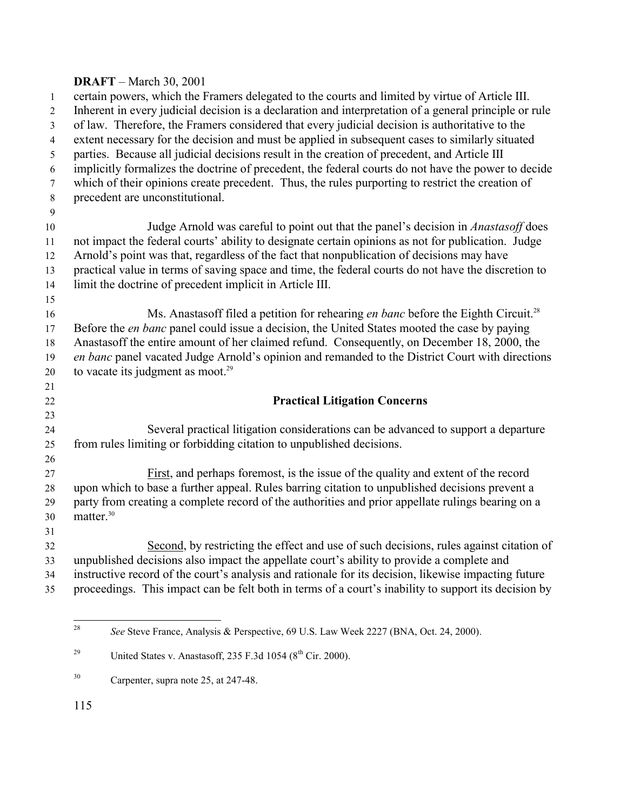certain powers, which the Framers delegated to the courts and limited by virtue of Article III. Inherent in every judicial decision is a declaration and interpretation of a general principle or rule of law. Therefore, the Framers considered that every judicial decision is authoritative to the extent necessary for the decision and must be applied in subsequent cases to similarly situated parties. Because all judicial decisions result in the creation of precedent, and Article III implicitly formalizes the doctrine of precedent, the federal courts do not have the power to decide which of their opinions create precedent. Thus, the rules purporting to restrict the creation of precedent are unconstitutional. Judge Arnold was careful to point out that the panel's decision in *Anastasoff* does not impact the federal courts' ability to designate certain opinions as not for publication. Judge Arnold's point was that, regardless of the fact that nonpublication of decisions may have practical value in terms of saving space and time, the federal courts do not have the discretion to limit the doctrine of precedent implicit in Article III. Ms. Anastasoff filed a petition for rehearing *en banc* before the Eighth Circuit.<sup>28</sup> Before the *en banc* panel could issue a decision, the United States mooted the case by paying Anastasoff the entire amount of her claimed refund. Consequently, on December 18, 2000, the *en banc* panel vacated Judge Arnold's opinion and remanded to the District Court with directions 20 to vacate its judgment as moot. **Practical Litigation Concerns** Several practical litigation considerations can be advanced to support a departure from rules limiting or forbidding citation to unpublished decisions. First, and perhaps foremost, is the issue of the quality and extent of the record upon which to base a further appeal. Rules barring citation to unpublished decisions prevent a party from creating a complete record of the authorities and prior appellate rulings bearing on a matter.<sup>30</sup> Second, by restricting the effect and use of such decisions, rules against citation of unpublished decisions also impact the appellate court's ability to provide a complete and instructive record of the court's analysis and rationale for its decision, likewise impacting future proceedings. This impact can be felt both in terms of a court's inability to support its decision by

*See* Steve France, Analysis & Perspective, 69 U.S. Law Week 2227 (BNA, Oct. 24, 2000).

<sup>&</sup>lt;sup>29</sup> United States v. Anastasoff, 235 F.3d 1054 ( $8<sup>th</sup>$  Cir. 2000).

Carpenter, supra note 25, at 247-48.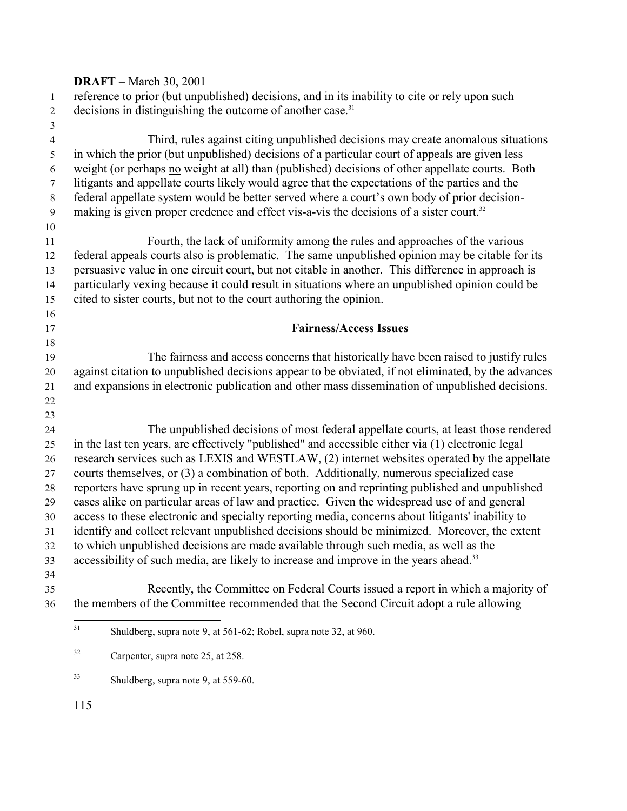| $\mathbf{1}$   | reference to prior (but unpublished) decisions, and in its inability to cite or rely upon such                                                                                                       |
|----------------|------------------------------------------------------------------------------------------------------------------------------------------------------------------------------------------------------|
| $\overline{2}$ | decisions in distinguishing the outcome of another case. <sup>31</sup>                                                                                                                               |
| $\mathfrak{Z}$ |                                                                                                                                                                                                      |
| $\overline{4}$ | Third, rules against citing unpublished decisions may create anomalous situations                                                                                                                    |
| 5              | in which the prior (but unpublished) decisions of a particular court of appeals are given less                                                                                                       |
| 6              | weight (or perhaps no weight at all) than (published) decisions of other appellate courts. Both                                                                                                      |
| $\tau$         | litigants and appellate courts likely would agree that the expectations of the parties and the                                                                                                       |
| $\,8\,$        | federal appellate system would be better served where a court's own body of prior decision-                                                                                                          |
| 9              | making is given proper credence and effect vis-a-vis the decisions of a sister court. <sup>32</sup>                                                                                                  |
| 10<br>11       | Fourth, the lack of uniformity among the rules and approaches of the various                                                                                                                         |
|                | federal appeals courts also is problematic. The same unpublished opinion may be citable for its                                                                                                      |
| 12             |                                                                                                                                                                                                      |
| 13             | persuasive value in one circuit court, but not citable in another. This difference in approach is<br>particularly vexing because it could result in situations where an unpublished opinion could be |
| 14             |                                                                                                                                                                                                      |
| 15<br>16       | cited to sister courts, but not to the court authoring the opinion.                                                                                                                                  |
| 17             | <b>Fairness/Access Issues</b>                                                                                                                                                                        |
| 18             |                                                                                                                                                                                                      |
| 19             | The fairness and access concerns that historically have been raised to justify rules                                                                                                                 |
| 20             | against citation to unpublished decisions appear to be obviated, if not eliminated, by the advances                                                                                                  |
| 21             | and expansions in electronic publication and other mass dissemination of unpublished decisions.                                                                                                      |
| 22             |                                                                                                                                                                                                      |
| 23             |                                                                                                                                                                                                      |
| 24             | The unpublished decisions of most federal appellate courts, at least those rendered                                                                                                                  |
| 25             | in the last ten years, are effectively "published" and accessible either via (1) electronic legal                                                                                                    |
| 26             | research services such as LEXIS and WESTLAW, (2) internet websites operated by the appellate                                                                                                         |
| 27             | courts themselves, or (3) a combination of both. Additionally, numerous specialized case                                                                                                             |
| 28             | reporters have sprung up in recent years, reporting on and reprinting published and unpublished                                                                                                      |
| 29             | cases alike on particular areas of law and practice. Given the widespread use of and general                                                                                                         |
| 30             | access to these electronic and specialty reporting media, concerns about litigants' inability to                                                                                                     |
| 31             | identify and collect relevant unpublished decisions should be minimized. Moreover, the extent                                                                                                        |
| 32             | to which unpublished decisions are made available through such media, as well as the                                                                                                                 |
| 33             | accessibility of such media, are likely to increase and improve in the years ahead. <sup>33</sup>                                                                                                    |
| 34             |                                                                                                                                                                                                      |
| 35             | Recently, the Committee on Federal Courts issued a report in which a majority of                                                                                                                     |
| 36             | the members of the Committee recommended that the Second Circuit adopt a rule allowing                                                                                                               |
|                | 31<br>Shuldberg, supra note 9, at 561-62; Robel, supra note 32, at 960.                                                                                                                              |
|                | 32<br>Carpenter, supra note 25, at 258.                                                                                                                                                              |
|                | 33<br>Shuldberg, supra note 9, at 559-60.                                                                                                                                                            |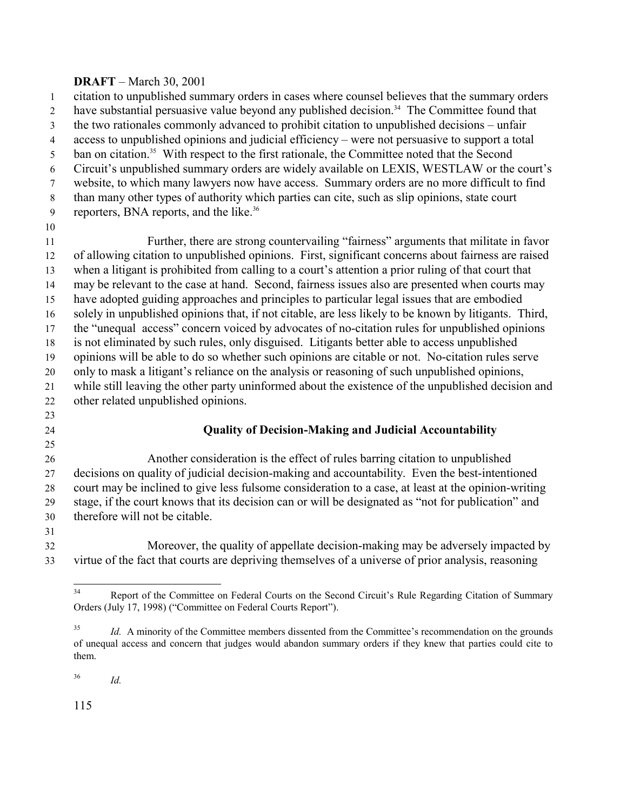citation to unpublished summary orders in cases where counsel believes that the summary orders 2 have substantial persuasive value beyond any published decision.<sup>34</sup> The Committee found that the two rationales commonly advanced to prohibit citation to unpublished decisions – unfair access to unpublished opinions and judicial efficiency – were not persuasive to support a total 5 ban on citation.<sup>35</sup> With respect to the first rationale, the Committee noted that the Second Circuit's unpublished summary orders are widely available on LEXIS, WESTLAW or the court's website, to which many lawyers now have access. Summary orders are no more difficult to find than many other types of authority which parties can cite, such as slip opinions, state court 9 reporters, BNA reports, and the like.<sup>36</sup> Further, there are strong countervailing "fairness" arguments that militate in favor of allowing citation to unpublished opinions. First, significant concerns about fairness are raised when a litigant is prohibited from calling to a court's attention a prior ruling of that court that may be relevant to the case at hand. Second, fairness issues also are presented when courts may have adopted guiding approaches and principles to particular legal issues that are embodied solely in unpublished opinions that, if not citable, are less likely to be known by litigants. Third, the "unequal access" concern voiced by advocates of no-citation rules for unpublished opinions is not eliminated by such rules, only disguised. Litigants better able to access unpublished opinions will be able to do so whether such opinions are citable or not. No-citation rules serve only to mask a litigant's reliance on the analysis or reasoning of such unpublished opinions, while still leaving the other party uninformed about the existence of the unpublished decision and other related unpublished opinions. **Quality of Decision-Making and Judicial Accountability** 

 Another consideration is the effect of rules barring citation to unpublished decisions on quality of judicial decision-making and accountability. Even the best-intentioned court may be inclined to give less fulsome consideration to a case, at least at the opinion-writing stage, if the court knows that its decision can or will be designated as "not for publication" and therefore will not be citable.

 Moreover, the quality of appellate decision-making may be adversely impacted by virtue of the fact that courts are depriving themselves of a universe of prior analysis, reasoning

*Id.*

Report of the Committee on Federal Courts on the Second Circuit's Rule Regarding Citation of Summary Orders (July 17, 1998) ("Committee on Federal Courts Report").

<sup>&</sup>lt;sup>35</sup> *Id.* A minority of the Committee members dissented from the Committee's recommendation on the grounds of unequal access and concern that judges would abandon summary orders if they knew that parties could cite to them.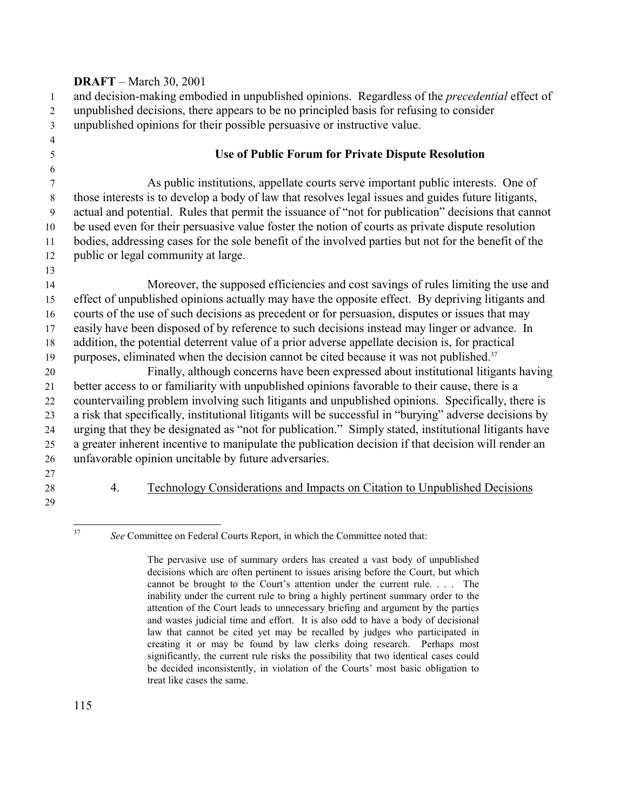and decision-making embodied in unpublished opinions. Regardless of the *precedential* effect of unpublished decisions, there appears to be no principled basis for refusing to consider unpublished opinions for their possible persuasive or instructive value.

### **Use of Public Forum for Private Dispute Resolution**

 As public institutions, appellate courts serve important public interests. One of those interests is to develop a body of law that resolves legal issues and guides future litigants, actual and potential. Rules that permit the issuance of "not for publication" decisions that cannot be used even for their persuasive value foster the notion of courts as private dispute resolution bodies, addressing cases for the sole benefit of the involved parties but not for the benefit of the public or legal community at large.

 Moreover, the supposed efficiencies and cost savings of rules limiting the use and effect of unpublished opinions actually may have the opposite effect. By depriving litigants and courts of the use of such decisions as precedent or for persuasion, disputes or issues that may easily have been disposed of by reference to such decisions instead may linger or advance. In addition, the potential deterrent value of a prior adverse appellate decision is, for practical purposes, eliminated when the decision cannot be cited because it was not published.

 Finally, although concerns have been expressed about institutional litigants having better access to or familiarity with unpublished opinions favorable to their cause, there is a countervailing problem involving such litigants and unpublished opinions. Specifically, there is a risk that specifically, institutional litigants will be successful in "burying" adverse decisions by urging that they be designated as "not for publication." Simply stated, institutional litigants have a greater inherent incentive to manipulate the publication decision if that decision will render an unfavorable opinion uncitable by future adversaries.

### 4. Technology Considerations and Impacts on Citation to Unpublished Decisions

See Committee on Federal Courts Report, in which the Committee noted that:

The pervasive use of summary orders has created a vast body of unpublished decisions which are often pertinent to issues arising before the Court, but which cannot be brought to the Court's attention under the current rule. . . . The inability under the current rule to bring a highly pertinent summary order to the attention of the Court leads to unnecessary briefing and argument by the parties and wastes judicial time and effort. It is also odd to have a body of decisional law that cannot be cited yet may be recalled by judges who participated in creating it or may be found by law clerks doing research. Perhaps most significantly, the current rule risks the possibility that two identical cases could be decided inconsistently, in violation of the Courts' most basic obligation to treat like cases the same.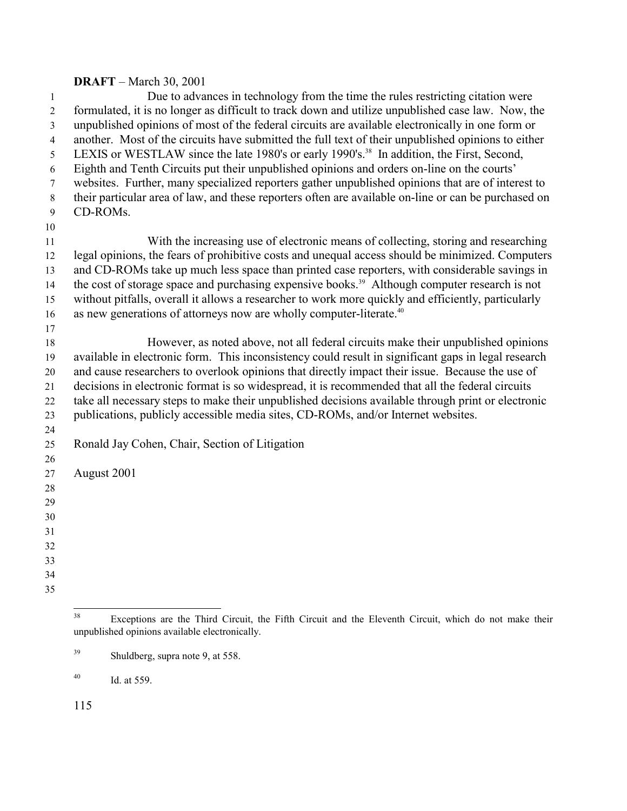Due to advances in technology from the time the rules restricting citation were formulated, it is no longer as difficult to track down and utilize unpublished case law. Now, the unpublished opinions of most of the federal circuits are available electronically in one form or another. Most of the circuits have submitted the full text of their unpublished opinions to either 5 LEXIS or WESTLAW since the late 1980's or early 1990's.<sup>38</sup> In addition, the First, Second, Eighth and Tenth Circuits put their unpublished opinions and orders on-line on the courts' websites. Further, many specialized reporters gather unpublished opinions that are of interest to their particular area of law, and these reporters often are available on-line or can be purchased on CD-ROMs. With the increasing use of electronic means of collecting, storing and researching legal opinions, the fears of prohibitive costs and unequal access should be minimized. Computers and CD-ROMs take up much less space than printed case reporters, with considerable savings in 14 the cost of storage space and purchasing expensive books.<sup>39</sup> Although computer research is not without pitfalls, overall it allows a researcher to work more quickly and efficiently, particularly 16 as new generations of attorneys now are wholly computer-literate.<sup>40</sup> However, as noted above, not all federal circuits make their unpublished opinions available in electronic form. This inconsistency could result in significant gaps in legal research and cause researchers to overlook opinions that directly impact their issue. Because the use of decisions in electronic format is so widespread, it is recommended that all the federal circuits take all necessary steps to make their unpublished decisions available through print or electronic publications, publicly accessible media sites, CD-ROMs, and/or Internet websites. Ronald Jay Cohen, Chair, Section of Litigation August 2001 

Exceptions are the Third Circuit, the Fifth Circuit and the Eleventh Circuit, which do not make their unpublished opinions available electronically.

Shuldberg, supra note 9, at 558.

 $^{40}$  Id. at 559.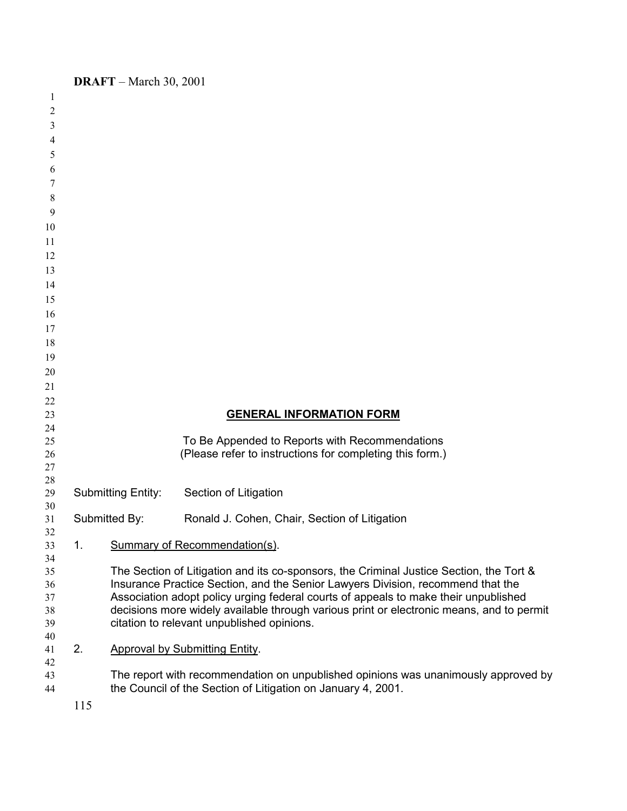| 1        |     |                           |                                                                                          |
|----------|-----|---------------------------|------------------------------------------------------------------------------------------|
| 2        |     |                           |                                                                                          |
| 3        |     |                           |                                                                                          |
| 4        |     |                           |                                                                                          |
| 5        |     |                           |                                                                                          |
| 6        |     |                           |                                                                                          |
| 7        |     |                           |                                                                                          |
|          |     |                           |                                                                                          |
| 8        |     |                           |                                                                                          |
| 9        |     |                           |                                                                                          |
| 10       |     |                           |                                                                                          |
| 11       |     |                           |                                                                                          |
| 12       |     |                           |                                                                                          |
| 13       |     |                           |                                                                                          |
| 14       |     |                           |                                                                                          |
| 15       |     |                           |                                                                                          |
| 16       |     |                           |                                                                                          |
| 17       |     |                           |                                                                                          |
| 18       |     |                           |                                                                                          |
| 19       |     |                           |                                                                                          |
| 20       |     |                           |                                                                                          |
| 21       |     |                           |                                                                                          |
| 22       |     |                           |                                                                                          |
| 23<br>24 |     |                           | <b>GENERAL INFORMATION FORM</b>                                                          |
| 25       |     |                           | To Be Appended to Reports with Recommendations                                           |
| 26       |     |                           | (Please refer to instructions for completing this form.)                                 |
| 27       |     |                           |                                                                                          |
| 28       |     |                           |                                                                                          |
| 29       |     | <b>Submitting Entity:</b> | Section of Litigation                                                                    |
| 30       |     |                           |                                                                                          |
| 31       |     | Submitted By:             | Ronald J. Cohen, Chair, Section of Litigation                                            |
| 32<br>33 | 1.  |                           | <b>Summary of Recommendation(s).</b>                                                     |
| 34       |     |                           |                                                                                          |
| 35       |     |                           | The Section of Litigation and its co-sponsors, the Criminal Justice Section, the Tort &  |
| 36       |     |                           | Insurance Practice Section, and the Senior Lawyers Division, recommend that the          |
| 37       |     |                           | Association adopt policy urging federal courts of appeals to make their unpublished      |
| 38       |     |                           | decisions more widely available through various print or electronic means, and to permit |
| 39       |     |                           | citation to relevant unpublished opinions.                                               |
| 40       |     |                           |                                                                                          |
| 41       | 2.  |                           | <b>Approval by Submitting Entity.</b>                                                    |
| 42<br>43 |     |                           | The report with recommendation on unpublished opinions was unanimously approved by       |
| 44       |     |                           | the Council of the Section of Litigation on January 4, 2001.                             |
|          |     |                           |                                                                                          |
|          | 115 |                           |                                                                                          |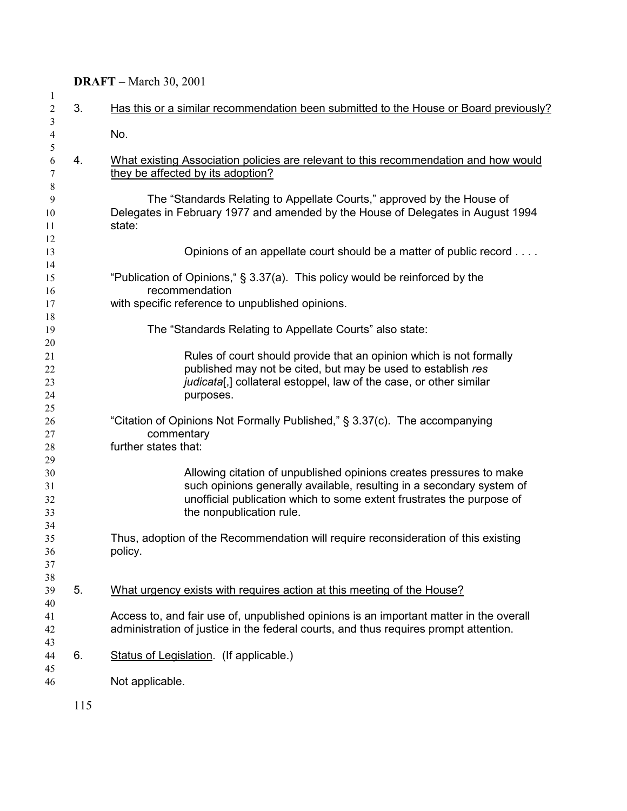| $\mathbf{1}$<br>$\overline{c}$ | 3.  | Has this or a similar recommendation been submitted to the House or Board previously?  |
|--------------------------------|-----|----------------------------------------------------------------------------------------|
| 3                              |     |                                                                                        |
| $\overline{4}$                 |     | No.                                                                                    |
| 5                              |     |                                                                                        |
| 6                              | 4.  | What existing Association policies are relevant to this recommendation and how would   |
| 7                              |     | they be affected by its adoption?                                                      |
| 8                              |     |                                                                                        |
| 9                              |     | The "Standards Relating to Appellate Courts," approved by the House of                 |
| 10                             |     | Delegates in February 1977 and amended by the House of Delegates in August 1994        |
| 11                             |     | state:                                                                                 |
| 12                             |     |                                                                                        |
| 13                             |     | Opinions of an appellate court should be a matter of public record                     |
| 14                             |     |                                                                                        |
| 15                             |     | "Publication of Opinions," § 3.37(a). This policy would be reinforced by the           |
| 16                             |     | recommendation                                                                         |
| 17                             |     | with specific reference to unpublished opinions.                                       |
| 18                             |     |                                                                                        |
| 19                             |     | The "Standards Relating to Appellate Courts" also state:                               |
| 20                             |     |                                                                                        |
|                                |     | Rules of court should provide that an opinion which is not formally                    |
| 21                             |     |                                                                                        |
| 22                             |     | published may not be cited, but may be used to establish res                           |
| 23                             |     | judicata[,] collateral estoppel, law of the case, or other similar                     |
| 24                             |     | purposes.                                                                              |
| 25                             |     |                                                                                        |
| 26                             |     | "Citation of Opinions Not Formally Published," § 3.37(c). The accompanying             |
| 27                             |     | commentary                                                                             |
| 28                             |     | further states that:                                                                   |
| 29                             |     |                                                                                        |
| 30                             |     | Allowing citation of unpublished opinions creates pressures to make                    |
| 31                             |     | such opinions generally available, resulting in a secondary system of                  |
| 32                             |     | unofficial publication which to some extent frustrates the purpose of                  |
| 33                             |     | the nonpublication rule.                                                               |
| 34                             |     |                                                                                        |
| 35                             |     | Thus, adoption of the Recommendation will require reconsideration of this existing     |
| 36                             |     | policy.                                                                                |
| 37                             |     |                                                                                        |
| 38                             |     |                                                                                        |
| 39                             | 5.  | What urgency exists with requires action at this meeting of the House?                 |
| 40                             |     |                                                                                        |
| 41                             |     | Access to, and fair use of, unpublished opinions is an important matter in the overall |
| 42                             |     | administration of justice in the federal courts, and thus requires prompt attention.   |
| 43                             |     |                                                                                        |
| 44                             | 6.  | Status of Legislation. (If applicable.)                                                |
| 45                             |     |                                                                                        |
| 46                             |     | Not applicable.                                                                        |
|                                |     |                                                                                        |
|                                | 115 |                                                                                        |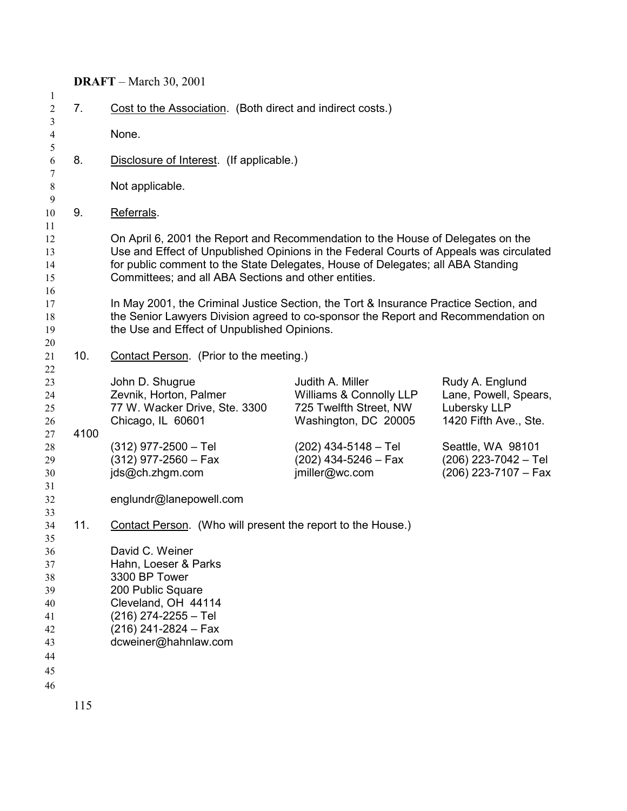| 7 <sub>1</sub> | Cost to the Association. (Both direct and indirect costs.)                                                                                                                                                                                                                                                           |                                                                                               |                                                                                   |  |
|----------------|----------------------------------------------------------------------------------------------------------------------------------------------------------------------------------------------------------------------------------------------------------------------------------------------------------------------|-----------------------------------------------------------------------------------------------|-----------------------------------------------------------------------------------|--|
|                | None.                                                                                                                                                                                                                                                                                                                |                                                                                               |                                                                                   |  |
|                |                                                                                                                                                                                                                                                                                                                      |                                                                                               |                                                                                   |  |
| 8.             | Disclosure of Interest. (If applicable.)                                                                                                                                                                                                                                                                             |                                                                                               |                                                                                   |  |
|                | Not applicable.                                                                                                                                                                                                                                                                                                      |                                                                                               |                                                                                   |  |
| 9.             | Referrals.                                                                                                                                                                                                                                                                                                           |                                                                                               |                                                                                   |  |
|                | On April 6, 2001 the Report and Recommendation to the House of Delegates on the<br>Use and Effect of Unpublished Opinions in the Federal Courts of Appeals was circulated<br>for public comment to the State Delegates, House of Delegates; all ABA Standing<br>Committees; and all ABA Sections and other entities. |                                                                                               |                                                                                   |  |
|                | In May 2001, the Criminal Justice Section, the Tort & Insurance Practice Section, and<br>the Senior Lawyers Division agreed to co-sponsor the Report and Recommendation on<br>the Use and Effect of Unpublished Opinions.                                                                                            |                                                                                               |                                                                                   |  |
| 10.            | Contact Person. (Prior to the meeting.)                                                                                                                                                                                                                                                                              |                                                                                               |                                                                                   |  |
|                | John D. Shugrue<br>Zevnik, Horton, Palmer<br>77 W. Wacker Drive, Ste. 3300<br>Chicago, IL 60601                                                                                                                                                                                                                      | Judith A. Miller<br>Williams & Connolly LLP<br>725 Twelfth Street, NW<br>Washington, DC 20005 | Rudy A. Englund<br>Lane, Powell, Spears,<br>Lubersky LLP<br>1420 Fifth Ave., Ste. |  |
| 4100           | $(312)$ 977-2500 - Tel<br>$(312)$ 977-2560 - Fax<br>jds@ch.zhgm.com                                                                                                                                                                                                                                                  | $(202)$ 434-5148 - Tel<br>$(202)$ 434-5246 – Fax<br>jmiller@wc.com                            | Seattle, WA 98101<br>$(206)$ 223-7042 - Tel<br>$(206)$ 223-7107 - Fax             |  |
|                | englundr@lanepowell.com                                                                                                                                                                                                                                                                                              |                                                                                               |                                                                                   |  |
| 11.            | Contact Person. (Who will present the report to the House.)                                                                                                                                                                                                                                                          |                                                                                               |                                                                                   |  |
|                | David C. Weiner<br>Hahn, Loeser & Parks<br>3300 BP Tower<br>200 Public Square<br>Cleveland, OH 44114<br>(216) 274-2255 - Tel<br>$(216)$ 241-2824 - Fax<br>dcweiner@hahnlaw.com                                                                                                                                       |                                                                                               |                                                                                   |  |
|                |                                                                                                                                                                                                                                                                                                                      |                                                                                               |                                                                                   |  |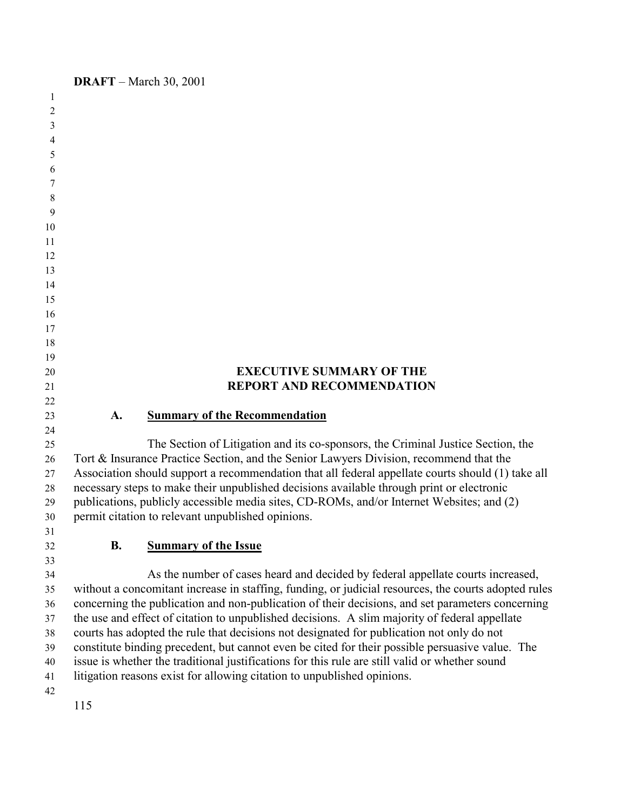| 1        |                                                                                                      |  |  |
|----------|------------------------------------------------------------------------------------------------------|--|--|
| 2        |                                                                                                      |  |  |
| 3        |                                                                                                      |  |  |
| 4        |                                                                                                      |  |  |
| 5        |                                                                                                      |  |  |
| 6        |                                                                                                      |  |  |
| 7        |                                                                                                      |  |  |
| 8        |                                                                                                      |  |  |
| 9        |                                                                                                      |  |  |
| 10       |                                                                                                      |  |  |
| 11       |                                                                                                      |  |  |
| 12       |                                                                                                      |  |  |
| 13       |                                                                                                      |  |  |
| 14       |                                                                                                      |  |  |
| 15       |                                                                                                      |  |  |
| 16       |                                                                                                      |  |  |
| 17       |                                                                                                      |  |  |
| 18       |                                                                                                      |  |  |
| 19       |                                                                                                      |  |  |
| 20       | <b>EXECUTIVE SUMMARY OF THE</b>                                                                      |  |  |
| 21       | <b>REPORT AND RECOMMENDATION</b>                                                                     |  |  |
| 22       |                                                                                                      |  |  |
| 23       | A.<br><b>Summary of the Recommendation</b>                                                           |  |  |
| 24       |                                                                                                      |  |  |
| 25       | The Section of Litigation and its co-sponsors, the Criminal Justice Section, the                     |  |  |
| 26       | Tort & Insurance Practice Section, and the Senior Lawyers Division, recommend that the               |  |  |
| 27       | Association should support a recommendation that all federal appellate courts should (1) take all    |  |  |
| 28       | necessary steps to make their unpublished decisions available through print or electronic            |  |  |
| 29       | publications, publicly accessible media sites, CD-ROMs, and/or Internet Websites; and (2)            |  |  |
| 30       | permit citation to relevant unpublished opinions.                                                    |  |  |
| 31       |                                                                                                      |  |  |
| 32       | <b>Summary of the Issue</b><br><b>B.</b>                                                             |  |  |
| 33<br>34 | As the number of cases heard and decided by federal appellate courts increased,                      |  |  |
| 35       | without a concomitant increase in staffing, funding, or judicial resources, the courts adopted rules |  |  |
| 36       | concerning the publication and non-publication of their decisions, and set parameters concerning     |  |  |
| 37       | the use and effect of citation to unpublished decisions. A slim majority of federal appellate        |  |  |
| 38       | courts has adopted the rule that decisions not designated for publication not only do not            |  |  |
| 39       | constitute binding precedent, but cannot even be cited for their possible persuasive value. The      |  |  |
| 40       | issue is whether the traditional justifications for this rule are still valid or whether sound       |  |  |
| 41       | litigation reasons exist for allowing citation to unpublished opinions.                              |  |  |
| 42       |                                                                                                      |  |  |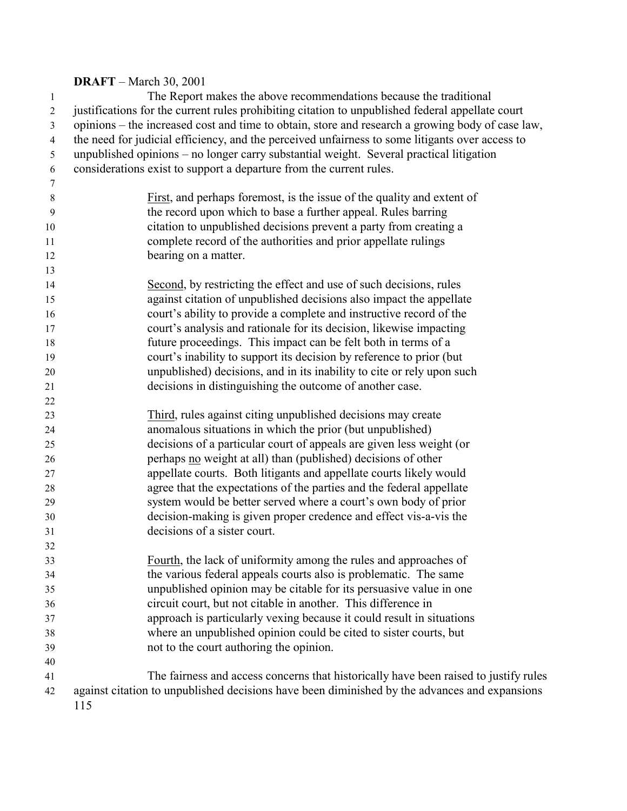The Report makes the above recommendations because the traditional justifications for the current rules prohibiting citation to unpublished federal appellate court opinions – the increased cost and time to obtain, store and research a growing body of case law, the need for judicial efficiency, and the perceived unfairness to some litigants over access to unpublished opinions – no longer carry substantial weight. Several practical litigation considerations exist to support a departure from the current rules. First, and perhaps foremost, is the issue of the quality and extent of the record upon which to base a further appeal. Rules barring citation to unpublished decisions prevent a party from creating a complete record of the authorities and prior appellate rulings 12 bearing on a matter. Second, by restricting the effect and use of such decisions, rules against citation of unpublished decisions also impact the appellate court's ability to provide a complete and instructive record of the court's analysis and rationale for its decision, likewise impacting future proceedings. This impact can be felt both in terms of a court's inability to support its decision by reference to prior (but unpublished) decisions, and in its inability to cite or rely upon such decisions in distinguishing the outcome of another case. Third, rules against citing unpublished decisions may create anomalous situations in which the prior (but unpublished) decisions of a particular court of appeals are given less weight (or perhaps no weight at all) than (published) decisions of other appellate courts. Both litigants and appellate courts likely would agree that the expectations of the parties and the federal appellate system would be better served where a court's own body of prior decision-making is given proper credence and effect vis-a-vis the decisions of a sister court. Fourth, the lack of uniformity among the rules and approaches of the various federal appeals courts also is problematic. The same unpublished opinion may be citable for its persuasive value in one circuit court, but not citable in another. This difference in approach is particularly vexing because it could result in situations where an unpublished opinion could be cited to sister courts, but not to the court authoring the opinion. The fairness and access concerns that historically have been raised to justify rules against citation to unpublished decisions have been diminished by the advances and expansions